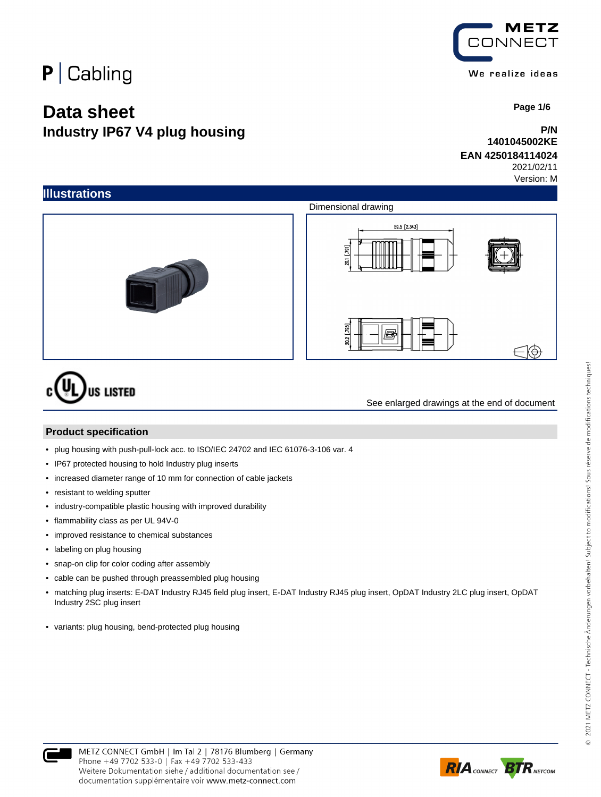## $P$  Cabling

## **Data sheet Industry IP67 V4 plug housing**

METZ ONNECT We realize ideas

 **Page 1/6**

## **P/N 1401045002KE**

## **EAN 4250184114024**

See enlarged drawings at the end of document

2021/02/11 Version: M



#### **Product specification**

- plug housing with push-pull-lock acc. to ISO/IEC 24702 and IEC 61076-3-106 var. 4
- IP67 protected housing to hold Industry plug inserts
- increased diameter range of 10 mm for connection of cable jackets
- resistant to welding sputter
- industry-compatible plastic housing with improved durability
- flammability class as per UL 94V-0
- improved resistance to chemical substances
- labeling on plug housing
- snap-on clip for color coding after assembly
- cable can be pushed through preassembled plug housing
- matching plug inserts: E-DAT Industry RJ45 field plug insert, E-DAT Industry RJ45 plug insert, OpDAT Industry 2LC plug insert, OpDAT Industry 2SC plug insert
- variants: plug housing, bend-protected plug housing

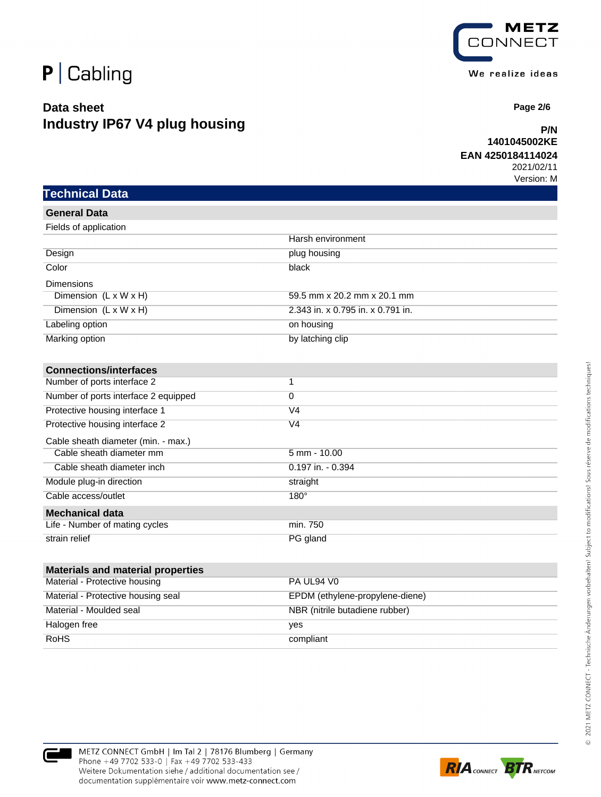

**Technical Data**

## **Data sheet Industry IP67 V4 plug housing**



 **Page 2/6**

## **P/N 1401045002KE**

## **EAN 4250184114024**

| <b>General Data</b>                  |                                   |
|--------------------------------------|-----------------------------------|
| Fields of application                |                                   |
|                                      | Harsh environment                 |
| Design                               | plug housing                      |
| Color                                | black                             |
| <b>Dimensions</b>                    |                                   |
| Dimension $(L \times W \times H)$    | 59.5 mm x 20.2 mm x 20.1 mm       |
| Dimension $(L \times W \times H)$    | 2.343 in. x 0.795 in. x 0.791 in. |
| Labeling option                      | on housing                        |
| Marking option                       | by latching clip                  |
| <b>Connections/interfaces</b>        |                                   |
| Number of ports interface 2          | 1                                 |
| Number of ports interface 2 equipped | $\Omega$                          |
| Protective housing interface 1       | V4                                |
| Protective housing interface 2       | V4                                |

| Protective housing interface 2      | V4                   |
|-------------------------------------|----------------------|
| Cable sheath diameter (min. - max.) |                      |
| Cable sheath diameter mm            | $5$ mm - $10.00$     |
| Cable sheath diameter inch          | $0.197$ in. $-0.394$ |
| Module plug-in direction            | straight             |
| Cable access/outlet                 | $180^\circ$          |
| <b>Mechanical data</b>              |                      |
| Life - Number of mating cycles      | min. 750             |
| strain relief                       | PG gland             |

| <b>Materials and material properties</b> |                                 |
|------------------------------------------|---------------------------------|
| Material - Protective housing            | PA UL94 V0                      |
| Material - Protective housing seal       | EPDM (ethylene-propylene-diene) |
| Material - Moulded seal                  | NBR (nitrile butadiene rubber)  |
| Halogen free                             | ves                             |
| <b>RoHS</b>                              | compliant                       |



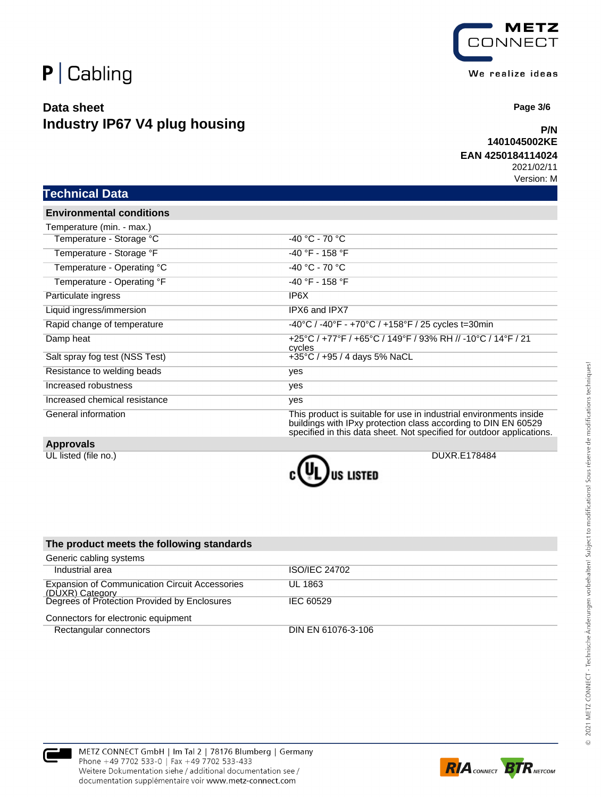

## **Data sheet Industry IP67 V4 plug housing**



 **Page 3/6**

## **P/N 1401045002KE**

#### **EAN 4250184114024**

2021/02/11 Version: M

| Technical Data |
|----------------|
|----------------|

**Environmental conditions**

| Temperature (min. - max.)      |                                                                                                                                                                                                               |
|--------------------------------|---------------------------------------------------------------------------------------------------------------------------------------------------------------------------------------------------------------|
| Temperature - Storage °C       | $-40 °C - 70 °C$                                                                                                                                                                                              |
| Temperature - Storage °F       | $-40$ °F - 158 °F                                                                                                                                                                                             |
| Temperature - Operating °C     | $-40 °C - 70 °C$                                                                                                                                                                                              |
| Temperature - Operating °F     | $-40$ °F - 158 °F                                                                                                                                                                                             |
| Particulate ingress            | IP6X                                                                                                                                                                                                          |
| Liquid ingress/immersion       | IPX6 and IPX7                                                                                                                                                                                                 |
| Rapid change of temperature    | $-40^{\circ}$ C / $-40^{\circ}$ F - $+70^{\circ}$ C / $+158^{\circ}$ F / 25 cycles t=30min                                                                                                                    |
| Damp heat                      | +25°C / +77°F / +65°C / 149°F / 93% RH // -10°C / 14°F / 21<br>cycles                                                                                                                                         |
| Salt spray fog test (NSS Test) | +35 $\degree$ C / +95 / 4 days 5% NaCL                                                                                                                                                                        |
| Resistance to welding beads    | yes                                                                                                                                                                                                           |
| Increased robustness           | yes                                                                                                                                                                                                           |
| Increased chemical resistance  | yes                                                                                                                                                                                                           |
| General information            | This product is suitable for use in industrial environments inside<br>buildings with IPxy protection class according to DIN EN 60529<br>specified in this data sheet. Not specified for outdoor applications. |

#### **Approvals**



| The product meets the following standards                                |                      |
|--------------------------------------------------------------------------|----------------------|
| Generic cabling systems                                                  |                      |
| Industrial area                                                          | <b>ISO/IEC 24702</b> |
| <b>Expansion of Communication Circuit Accessories</b><br>(DUXR) Category | UL 1863              |
| Degrees of Protection Provided by Enclosures                             | IEC 60529            |
| Connectors for electronic equipment                                      |                      |
| Rectangular connectors                                                   | DIN EN 61076-3-106   |



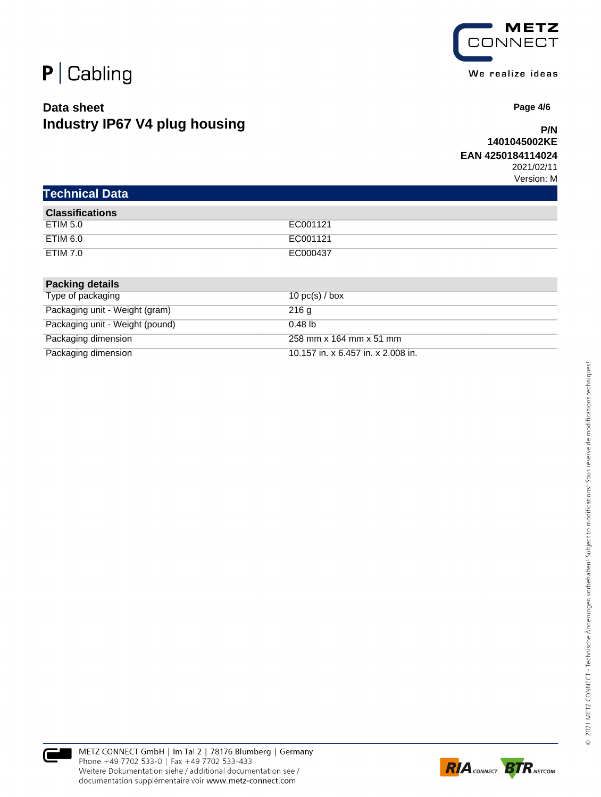

## **Data sheet Industry IP67 V4 plug housing**



 **Page 4/6**

## **P/N 1401045002KE**

#### **EAN 4250184114024**

|  | <b>Technical Data</b> |
|--|-----------------------|
|  |                       |
|  |                       |

| <b>Classifications</b> |          |
|------------------------|----------|
| ETIM 5.0               | EC001121 |
| ETIM 6.0               | EC001121 |
| <b>ETIM 7.0</b>        | EC000437 |

| <b>Packing details</b>          |                                    |
|---------------------------------|------------------------------------|
| Type of packaging               | 10 $pc(s)$ / box                   |
| Packaging unit - Weight (gram)  | 216q                               |
| Packaging unit - Weight (pound) | $0.48$ lb                          |
| Packaging dimension             | 258 mm x 164 mm x 51 mm            |
| Packaging dimension             | 10.157 in. x 6.457 in. x 2.008 in. |

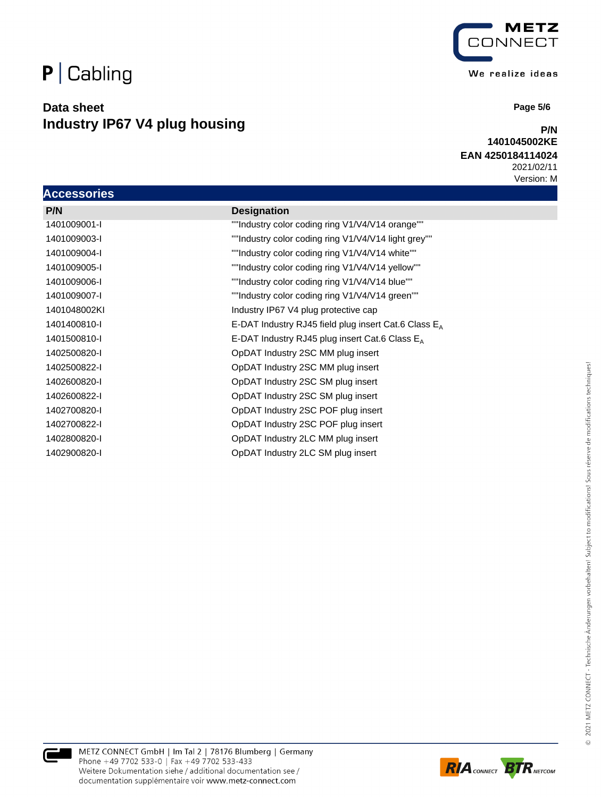# $P$  Cabling

## **Data sheet Industry IP67 V4 plug housing**



 **Page 5/6**

## **P/N 1401045002KE**

## **EAN 4250184114024**

| <b>Accessories</b> |                                                         |
|--------------------|---------------------------------------------------------|
| P/N                | <b>Designation</b>                                      |
| 1401009001-I       | ""Industry color coding ring V1/V4/V14 orange""         |
| 1401009003-I       | ""Industry color coding ring V1/V4/V14 light grey""     |
| 1401009004-I       | ""Industry color coding ring V1/V4/V14 white""          |
| 1401009005-I       | ""Industry color coding ring V1/V4/V14 yellow""         |
| 1401009006-I       | ""Industry color coding ring V1/V4/V14 blue""           |
| 1401009007-I       | ""Industry color coding ring V1/V4/V14 green""          |
| 1401048002KI       | Industry IP67 V4 plug protective cap                    |
| 1401400810-I       | E-DAT Industry RJ45 field plug insert Cat.6 Class $E_A$ |
| 1401500810-I       | E-DAT Industry RJ45 plug insert Cat.6 Class $E_A$       |
| 1402500820-I       | OpDAT Industry 2SC MM plug insert                       |
| 1402500822-I       | OpDAT Industry 2SC MM plug insert                       |
| 1402600820-l       | OpDAT Industry 2SC SM plug insert                       |
| 1402600822-I       | OpDAT Industry 2SC SM plug insert                       |
| 1402700820-I       | OpDAT Industry 2SC POF plug insert                      |
| 1402700822-I       | OpDAT Industry 2SC POF plug insert                      |
| 1402800820-l       | OpDAT Industry 2LC MM plug insert                       |
| 1402900820-I       | OpDAT Industry 2LC SM plug insert                       |